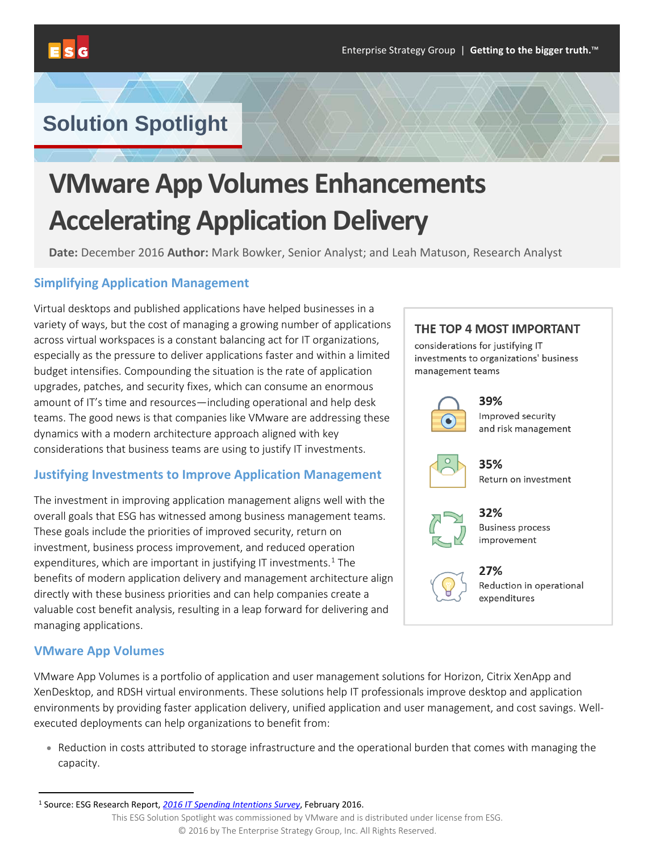

# **Solution Spotlight**

# **VMware App Volumes Enhancements Accelerating Application Delivery**

**Date:** December 2016 **Author:** Mark Bowker, Senior Analyst; and Leah Matuson, Research Analyst

### **Simplifying Application Management**

Virtual desktops and published applications have helped businesses in a variety of ways, but the cost of managing a growing number of applications across virtual workspaces is a constant balancing act for IT organizations, especially as the pressure to deliver applications faster and within a limited budget intensifies. Compounding the situation is the rate of application upgrades, patches, and security fixes, which can consume an enormous amount of IT's time and resources—including operational and help desk teams. The good news is that companies like VMware are addressing these dynamics with a modern architecture approach aligned with key considerations that business teams are using to justify IT investments.

# **Justifying Investments to Improve Application Management**

The investment in improving application management aligns well with the overall goals that ESG has witnessed among business management teams. These goals include the priorities of improved security, return on investment, business process improvement, and reduced operation expenditures, which are important in justifying IT investments.<sup>[1](#page-0-0)</sup> The benefits of modern application delivery and management architecture align directly with these business priorities and can help companies create a valuable cost benefit analysis, resulting in a leap forward for delivering and managing applications.

#### **VMware App Volumes**

VMware App Volumes is a portfolio of application and user management solutions for Horizon, Citrix XenApp and XenDesktop, and RDSH virtual environments. These solutions help IT professionals improve desktop and application environments by providing faster application delivery, unified application and user management, and cost savings. Wellexecuted deployments can help organizations to benefit from:

• Reduction in costs attributed to storage infrastructure and the operational burden that comes with managing the capacity.



considerations for justifying IT investments to organizations' business management teams

39%

32%

27%



Improved security and risk management



35% Return on investment



**Business process** improvement



Reduction in operational expenditures

<span id="page-0-0"></span> <sup>1</sup> Source: ESG Research Report, *[2016 IT Spending Intentions Survey](http://research.esg-global.com/reportaction/ITSI2016/Toc)*, February 2016.

This ESG Solution Spotlight was commissioned by VMware and is distributed under license from ESG. © 2016 by The Enterprise Strategy Group, Inc. All Rights Reserved.